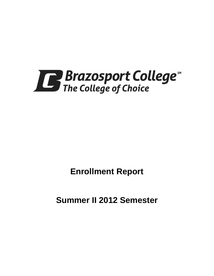

**Enrollment Report**

**Summer II 2012 Semester**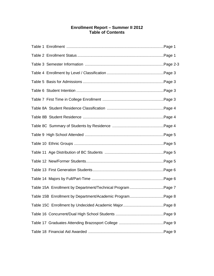## **Enrollment Report – Summer II 2012 Table of Contents**

| Table 15A Enrollment by Department/Technical Program Page 7 |  |
|-------------------------------------------------------------|--|
| Table 15B Enrollment by Department/Academic ProgramPage 8   |  |
|                                                             |  |
|                                                             |  |
|                                                             |  |
|                                                             |  |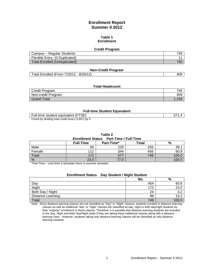## **Enrollment Report Summer II 2012**

#### **Table 1 Enrollment**

#### **Credit Program**

| Campus – Regular Students     | 749 |
|-------------------------------|-----|
| Flexible Entry (0 Duplicated) |     |
| Total Enrolled (Unduplicated) | 760 |

#### **Non-Credit Program**

Total Enrolled (From 7/10/12 - 8/26/12) 409

#### **Total Headcount**

| Credit Program     | 749 |
|--------------------|-----|
| Non-credit Program | 409 |
| Grand Total        |     |

#### **Full-time Student Equivalent**

| Full-time student equivalent (FTSE)               |  |
|---------------------------------------------------|--|
| Found by dividing total credit hours (2,857) by 5 |  |

**Table 2**

#### **Enrollment Status Part-Time / Full-Time**

|        | <b>Full-Time</b> | Part-Time* | Total | %    |  |
|--------|------------------|------------|-------|------|--|
| Male   | 60               | 233        | 293   | 39.  |  |
| Female | 112              | 344        | 456   | 60.9 |  |
| Total  | 172              | 577        | 749   | 100  |  |
| %      | 23.0             |            |       | 100  |  |

\*Part-Time – Less than 5 semester hours in summer semester.

# **Enrollment Status Day Student / Night Student**

|                   | No. | %           |
|-------------------|-----|-------------|
| Day               | 454 | 60.6        |
| Night             | 172 | 23.0        |
| Both Day / Night  | 24  | ົ<br>◡.∠    |
| Distance Learning | 99  | ני ו<br>ے.د |
| Total             | 749 | 100         |

Note: Since distance learning classes are not classified as "Day" or "Night" classes, students enrolled in distance learning classes as well as traditional "day" or "night" classes are classified as day, night or both day/night students by their "majority" enrollment in these classes. Therefore, it is possible that distance learning students are included in the Day, Night and Both Day/Night totals if they are taking these traditional classes along with a distance learning class. However, students taking only distance learning classes will be classified as only distance learning students.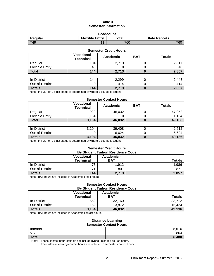## **Table 3 Semester Information**

| <b>Headcount</b>                                                        |                |     |     |  |  |
|-------------------------------------------------------------------------|----------------|-----|-----|--|--|
| <b>Flexible Entry</b><br>Regular<br>$\tau$ otal<br><b>State Reports</b> |                |     |     |  |  |
| 749                                                                     | $\overline{A}$ | 760 | 760 |  |  |

| <b>Semester Credit Hours</b> |                                        |          |            |               |
|------------------------------|----------------------------------------|----------|------------|---------------|
|                              | <b>Vocational-</b><br><b>Technical</b> | Academic | <b>BAT</b> | <b>Totals</b> |
| Regular                      | 104                                    | 2,713    |            | 2,817         |
| <b>Flexible Entry</b>        | 40                                     |          |            | 40            |
| Total                        | 144                                    | 2,713    | 0          | 2,857         |
|                              |                                        |          |            |               |
| In-District                  | 144                                    | 2,299    |            | 2,443         |
| Out-of-District              |                                        | 414      | 0          | 414           |
| <b>Totals</b>                | 144                                    | 2,713    | O          | 2,857         |

Note: In / Out-of-District status is determined by where a course is taught.

#### **Semester Contact Hours**

|                       | <b>Vocational-</b><br><b>Technical</b> | Academic | <b>BAT</b> | <b>Totals</b> |
|-----------------------|----------------------------------------|----------|------------|---------------|
| Regular               | 1,920                                  | 46.032   |            | 47.952        |
| <b>Flexible Entry</b> | 1.184                                  |          |            | 1.184         |
| Total                 | 3,104                                  | 46.032   |            | 49,136        |

| In-District     | 104<br>J. | 39,408 | 42.512 |
|-----------------|-----------|--------|--------|
| Out-of-District |           | 6,624  | 6,624  |
| <b>Totals</b>   | 3,104     | 46,032 | 49,136 |

Note: In / Out-of-District status is determined by where a course is taught.

# **Semester Credit Hours**

| <b>By Student Tuition Residency Code</b> |                                        |                          |                 |  |
|------------------------------------------|----------------------------------------|--------------------------|-----------------|--|
|                                          | <b>Vocational-</b><br><b>Technical</b> | Academic -<br><b>BAT</b> | <b>Totals</b>   |  |
| In-District                              | 73                                     | 1.912                    | 1,986           |  |
| Out-of-District                          |                                        | 801                      | 87 <sup>1</sup> |  |
| <b>Totals</b>                            | 144                                    | 2,713                    | 2,857           |  |

Note: BAT hours are included in Academic credit hours.

#### **Semester Contact Hours By Student Tuition Residency Code**

|                 | <b>Vocational-</b><br><b>Technical</b> | Academic -<br><b>BAT</b> | <b>Totals</b> |
|-----------------|----------------------------------------|--------------------------|---------------|
| In-District     | 1,552                                  | 32,160                   | 33,712        |
| Out-of-District | .152                                   | 13.872                   | 15.424        |
| <b>Totals</b>   | 3,104                                  | 46,032                   | 49,136        |

Note: BAT hours are included in Academic contact hours.

#### **Distance Learning Semester Contact Hours**

| <b>Political Contact Hours</b> |       |  |
|--------------------------------|-------|--|
| Internet                       | 5,616 |  |
| <b>VCT</b>                     | 864   |  |
| <b>Total</b>                   | 6480  |  |

Note: These contact hour totals do not include hybrid / blended course hours.

The distance learning contact hours are included in semester contact hours.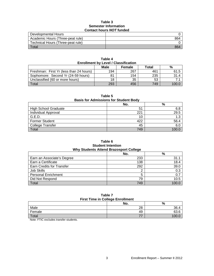#### **Table 3 Semester Information Contact hours** *NOT* **funded**

| Developmental Hours               |     |
|-----------------------------------|-----|
| Academic Hours (Three-peat rule)  | 864 |
| Technical Hours (Three-peat rule) |     |
| $\tau$ <sub>otal</sub>            | 864 |

| <b>Enrollment by Level / Classification</b> |      |        |       |       |
|---------------------------------------------|------|--------|-------|-------|
|                                             | Male | Female | Total | %     |
| Freshman: First Yr (less than 24 hours)     | 194  | 267    | 461   | 61.5  |
| Sophomore: Second Yr (24-59 hours)          | 81   | 154    | 235   | 31.4  |
| Unclassified (60 or more hours)             | 18   | 35     | 53    |       |
| Total                                       | 293  | 456    | 749   | 100 ( |

**Table 4**

## **Table 5**

## **Basis for Admissions for Student Body**

|                             | No. | %    |
|-----------------------------|-----|------|
| <b>High School Graduate</b> | 51  | 6.8  |
| <b>Individual Approval</b>  | 221 | 29.5 |
| G.E.D.                      | 10  | 1.3  |
| <b>Former Student</b>       | 422 | 56.4 |
| College Transfer            | 45  | 6.0  |
| <b>Total</b>                | 749 |      |

## **Table 6 Student Intention Why Students Attend Brazosport College**

|                                  | No. | %     |
|----------------------------------|-----|-------|
| Earn an Associate's Degree       | 233 | 31.1  |
| Earn a Certificate               | 138 | 18.4  |
| <b>Earn Credits for Transfer</b> | 292 | 39.0  |
| Job Skills                       |     | 0.3   |
| <b>Personal Enrichment</b>       | 5   | 0.7   |
| Did Not Respond                  | 79  | 10.5  |
| Total                            | 749 | 100 Q |

### **Table 7 First Time in College Enrollment**

|        | No. | %     |
|--------|-----|-------|
| Male   | 28  | 36.4  |
| Female | 49  | 63.6  |
| Total  | --  | 100.0 |

Note: FTIC excludes transfer students.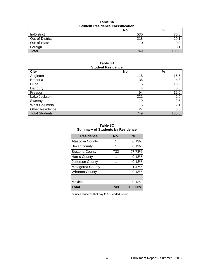| Table 8A                                |  |  |
|-----------------------------------------|--|--|
| <b>Student Residence Classification</b> |  |  |

|                    | No. | %     |  |
|--------------------|-----|-------|--|
| <b>In-District</b> | 530 | 70.8  |  |
| Out-of-District    | 218 | 29.7  |  |
| Out-of-State       |     | 0.0   |  |
| Foreign            |     |       |  |
| Total              | 749 | 100.C |  |

#### **Table 8B Student Residence**

| <b>City</b>            | No. | $\%$  |
|------------------------|-----|-------|
| Angleton               | 116 | 15.5  |
| <b>Brazoria</b>        | 36  | 4.8   |
| Clute                  | 116 | 15.5  |
| Danbury                | 4   | 0.5   |
| Freeport               | 94  | 12.6  |
| Lake Jackson           | 321 | 42.9  |
| Sweeny                 | 19  | 2.5   |
| West Columbia          | 16  | 2.1   |
| <b>Other Residence</b> | 27  | 3.6   |
| <b>Total Students</b>  | 749 | 100.0 |

**Table 8C Summary of Students by Residence**

| <b>Residence</b>       | No. | $\frac{9}{6}$ |
|------------------------|-----|---------------|
| Atascosa County        |     | 0.13%         |
| <b>Bexar County</b>    | 1   | 0.13%         |
| <b>Brazoria County</b> | 732 | 97.73%        |
| <b>Harris County</b>   |     | 0.13%         |
| Jefferson County       | 1   | 0.13%         |
| Matagorda County       | 11  | 1.47%         |
| <b>Wharton County</b>  |     | 0.13%         |
|                        |     |               |
| Mexico                 |     | 0.13%         |
| <b>Total</b>           | 749 | 100.00%       |

Includes students that pay C & D coded tuition.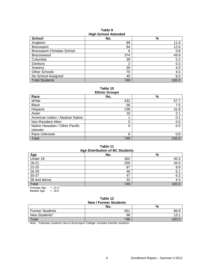| <b>School</b>                      | No. | %     |
|------------------------------------|-----|-------|
| Angleton                           | 89  | 11.9  |
| <b>Brazosport</b>                  | 94  | 12.6  |
| <b>Brazosport Christian School</b> | 6   | 0.8   |
| <b>Brazoswood</b>                  | 374 | 49.9  |
| Columbia                           | 39  | 5.2   |
| Danbury                            | 2   | 0.3   |
| Sweeny                             | 30  | 4.0   |
| <b>Other Schools</b>               | 70  | 9.3   |
| No School Assigned                 | 45  | 6.0   |
| <b>Total Students</b>              | 749 | 100.0 |

**Table 9 High School Attended**

**Table 10**

| <b>Ethnic Groups</b>             |     |       |
|----------------------------------|-----|-------|
| Race                             | No. | $\%$  |
| White                            | 432 | 57.7  |
| <b>Black</b>                     | 56  | 7.5   |
| Hispanic                         | 238 | 31.8  |
| Asian                            | 16  | 2.1   |
| American Indian / Alaskan Native |     | 0.1   |
| Non-Resident Alien               | 0   | 0.0   |
| Native Hawaiian / Other Pacific  | 0   | 0.0   |
| Islander                         |     |       |
| Race Unknown                     | 6   | 0.8   |
| Total                            | 749 | 100.0 |

## **Table 11 Age Distribution of BC Students**

|                       | $1.9$ - $-1.0$ $-1.0$ and $-1.0$ $-1.0$ $-1.0$ |       |
|-----------------------|------------------------------------------------|-------|
| Age                   | No.                                            | %     |
| Under 18              | 302                                            | 40.3  |
| 18-21                 | 255                                            | 34.0  |
| 22-25                 | 67                                             | 8.9   |
| 26-29                 | 46                                             | 6.1   |
| 30-37                 | 47                                             | 6.3   |
| 38 and above          | 32                                             | 4.3   |
| Total                 | 749                                            | 100.0 |
| $-210$<br>Aversoe Age |                                                |       |

Average Age = 21.0 Median Age  $= 18.0$ 

#### **Table 12 New / Former Students**

| $195W / 1$ of the budget $3$ |     |      |  |  |  |
|------------------------------|-----|------|--|--|--|
|                              | No. | %    |  |  |  |
| <b>Former Students</b>       | 651 | 86.9 |  |  |  |
| New Students*                | 98  | 13.  |  |  |  |
| <b>Total</b>                 | 749 |      |  |  |  |

Note: \*Indicates students new to Brazosport College--includes transfer students.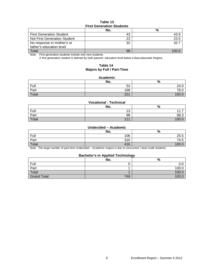### **Table 13 First Generation Students**

|                                 | No. | %    |  |  |  |
|---------------------------------|-----|------|--|--|--|
| <b>First Generation Student</b> | 43  |      |  |  |  |
| Not First Generation Student    | 23  | 23.5 |  |  |  |
| No response in mother's or      | 32  | 32.7 |  |  |  |
| father's education level        |     |      |  |  |  |
| Total                           | 98  |      |  |  |  |

Note: First generation students include only new students.

A first generation student is defined by both parents' education level below a Baccalaureate Degree.

### **Table 14 Majors by Full / Part-Time**

#### **Academic**

|       | No. | $\mathbf{0}$<br>70 |
|-------|-----|--------------------|
| Full  | 53  | 24.0               |
| Part  | 168 | 76.0               |
| Total | 221 | 10 <sup>c</sup>    |

#### **Vocational - Technical**

|       | No. | $\%$     |
|-------|-----|----------|
| Full  | 13  | $\cdots$ |
| Part  | 98  | 88.3     |
| Total | 111 | 100.0    |

#### **Undecided – Academic**

|       | No. | %     |
|-------|-----|-------|
| Full  | 106 | 25.5  |
| Part  | 310 | 74.5  |
| Total | 416 | 100.L |

Note: The large number of part-time Undecided – Academic majors is due to concurrent / dual credit students.

#### **Bachelor's in Applied Technology**

|                    | No. | --<br>$\Omega$<br>70 |
|--------------------|-----|----------------------|
| Full               |     | v.u                  |
| Part               |     | 100.0                |
| Total              |     | 100.C                |
| <b>Grand Total</b> | 749 | 100.0                |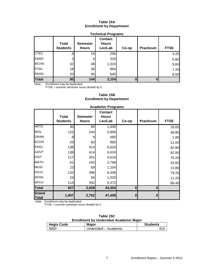## **Table 15A Enrollment by Department**

| <b>Technical Programs</b> |                          |                                 |                                           |       |                  |             |  |
|---------------------------|--------------------------|---------------------------------|-------------------------------------------|-------|------------------|-------------|--|
|                           | Total<br><b>Students</b> | <b>Semester</b><br><b>Hours</b> | <b>Contact</b><br><b>Hours</b><br>Lec/Lab | Co-op | <b>Practicum</b> | <b>FTSE</b> |  |
| <b>CTEC</b>               | 8                        | 16                              | 256                                       |       |                  | 3.20        |  |
| <b>EMSP</b>               | ◠                        |                                 | 320                                       |       |                  | 0.80        |  |
| <b>MCHN</b>               | 32                       | 48                              | 1,024                                     |       |                  | 9.60        |  |
| <b>PTAC</b>               | 18                       | 36                              | 864                                       |       |                  | 7.20        |  |
| <b>RNSG</b>               | 20 <sub>l</sub>          | 40                              | 640                                       |       |                  | 8.00        |  |
| <b>Total</b>              | 80                       | 144                             | 3,104                                     |       |                  |             |  |

Note: Enrollment may be duplicated.

FTSE = summer semester hours divided by 5.

## **Table 15B Enrollment by Department**

|                       |                 |                 | , waaviillo : 1 ogi allio      |          |                  |             |
|-----------------------|-----------------|-----------------|--------------------------------|----------|------------------|-------------|
|                       | <b>Total</b>    | <b>Semester</b> | <b>Contact</b><br><b>Hours</b> |          |                  |             |
|                       | <b>Students</b> | <b>Hours</b>    | Lec/Lab                        | Co-op    | <b>Practicum</b> | <b>FTSE</b> |
| <b>ARTS</b>           | 30              | 90 <sub>0</sub> | 1,440                          |          |                  | 18.00       |
| <b>BIOL</b>           | 122             | 244             | 5,856                          |          |                  | 48.80       |
| <b>DRAM</b>           | 8               | 9               | 480                            |          |                  | 1.80        |
| <b>ECON</b>           | 20              | 60              | 960                            |          |                  | 12.00       |
| <b>ENGL</b>           | 138             | 414             | 6,624                          |          |                  | 82.80       |
| <b>GOVT</b>           | 138             | 414             | 6,624                          |          |                  | 82.80       |
| <b>HIST</b>           | 117             | 351             | 5,616                          |          |                  | 70.20       |
| <b>MATH</b>           | 61              | 163             | 2,768                          |          |                  | 32.60       |
| <b>MUSI</b>           | 23              | 69              | 1,104                          |          |                  | 13.80       |
| <b>PSYC</b>           | 132             | 396             | 6,336                          |          |                  | 79.20       |
| <b>SPAN</b>           | 24              | 56              | 1,024                          |          |                  | 11.20       |
| <b>SPCH</b>           | 114             | 342             | 5,472                          |          |                  | 68.40       |
| <b>Total</b>          | 927             | 2,608           | 44,304                         | $\bf{0}$ | $\bf{0}$         |             |
| Grand<br><b>Total</b> | 1,007           | 2,752           | 47,408                         | 0        | 0                |             |

#### **Academic Programs**

Note: Enrollment may be duplicated.

FTSE = summer semester hours divided by 5.

|      | Table 15C                                     |  |
|------|-----------------------------------------------|--|
|      | <b>Enrollment by Undecided Academic Major</b> |  |
| ۔ اہ | <b>Majar</b>                                  |  |

| <b>Hegis Code</b> | <b>Major</b>         | <b>Students</b> |
|-------------------|----------------------|-----------------|
| 6950              | Undecided – Academic |                 |